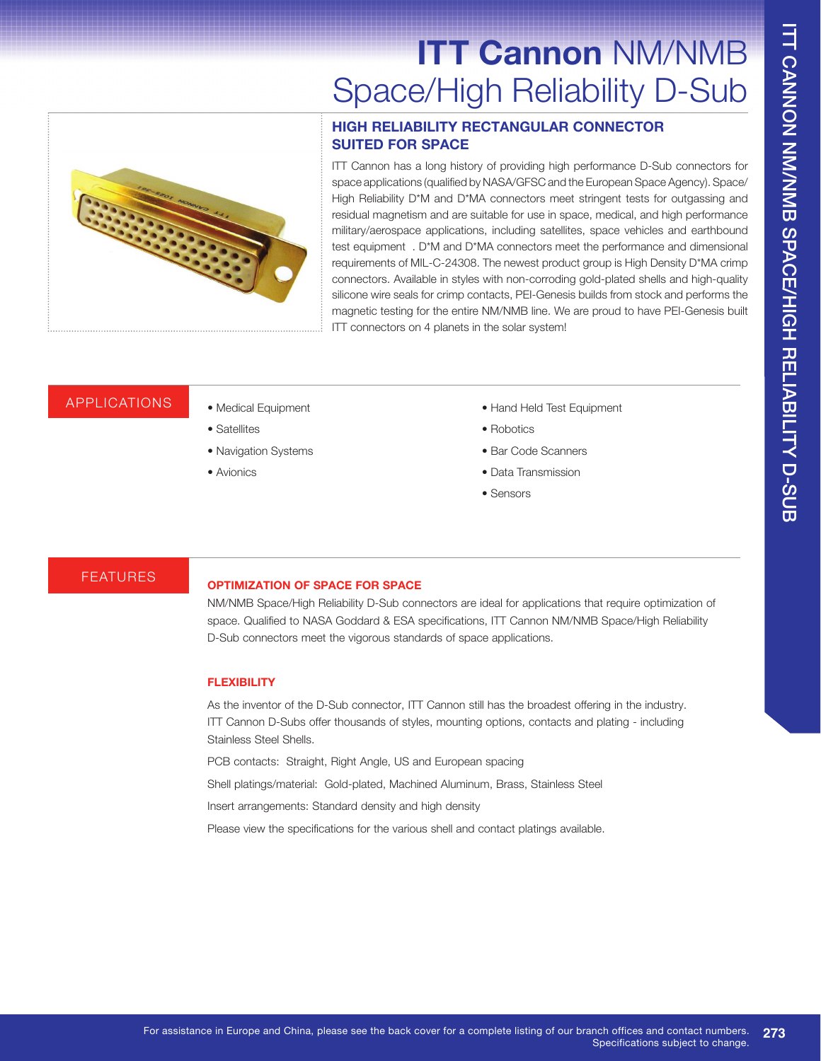# **ITT Cannon** NM/NMB Space/High Reliability D-Sub

### **HIGH RELIABILITY RECTANGULAR CONNECTOR SUITED FOR SPACE**

ITT Cannon has a long history of providing high performance D-Sub connectors for space applications (qualified by NASA/GFSC and the European Space Agency). Space/ High Reliability D\*M and D\*MA connectors meet stringent tests for outgassing and residual magnetism and are suitable for use in space, medical, and high performance military/aerospace applications, including satellites, space vehicles and earthbound test equipment . D<sup>\*</sup>M and D<sup>\*</sup>MA connectors meet the performance and dimensional requirements of MIL-C-24308. The newest product group is High Density D\*MA crimp connectors. Available in styles with non-corroding gold-plated shells and high-quality silicone wire seals for crimp contacts, PEI-Genesis builds from stock and performs the magnetic testing for the entire NM/NMB line. We are proud to have PEI-Genesis built ITT connectors on 4 planets in the solar system!

### APPLICATIONS • Medical Equipment

- Satellites
- Navigation Systems
- Avionics
- Hand Held Test Equipment
- Robotics
- Bar Code Scanners
- Data Transmission
- Sensors

# FEATURES **OPTIMIZATION OF SPACE FOR SPACE**

NM/NMB Space/High Reliability D-Sub connectors are ideal for applications that require optimization of space. Qualified to NASA Goddard & ESA specifications, ITT Cannon NM/NMB Space/High Reliability D-Sub connectors meet the vigorous standards of space applications.

### **FLEXIBILITY**

As the inventor of the D-Sub connector, ITT Cannon still has the broadest offering in the industry. ITT Cannon D-Subs offer thousands of styles, mounting options, contacts and plating - including Stainless Steel Shells.

PCB contacts: Straight, Right Angle, US and European spacing

Shell platings/material: Gold-plated, Machined Aluminum, Brass, Stainless Steel

Insert arrangements: Standard density and high density

Please view the specifications for the various shell and contact platings available.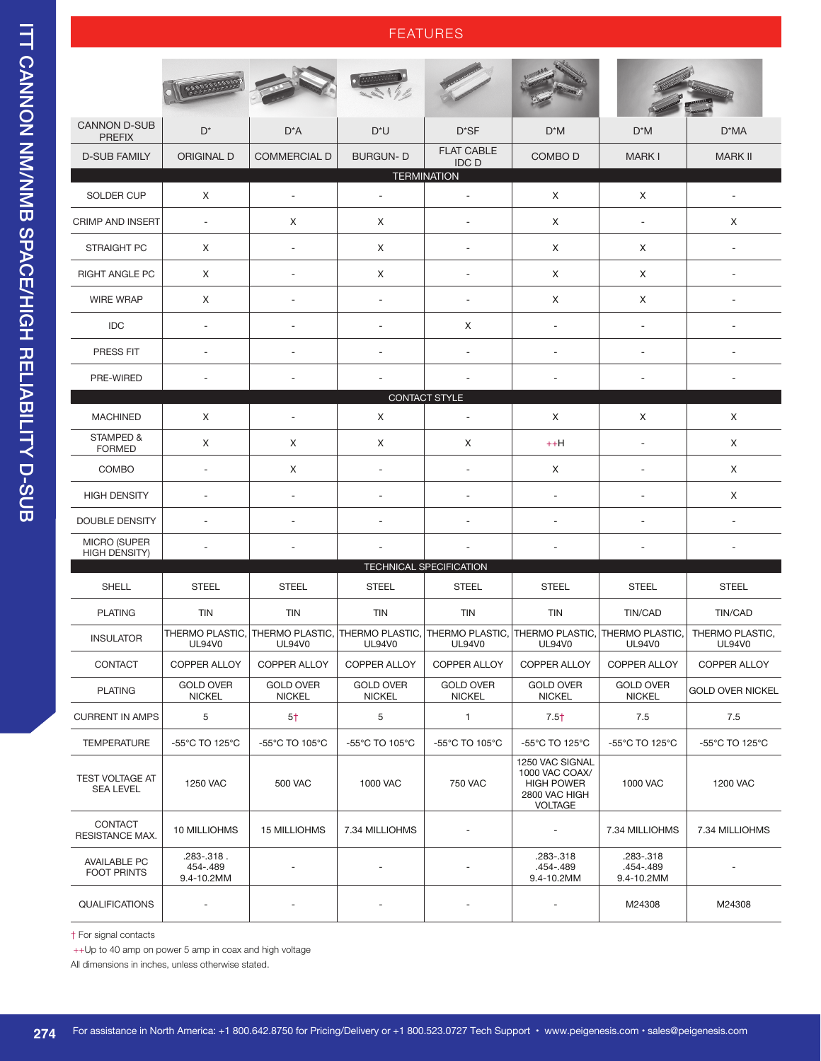# ITT CANNON NM/NMB SPACE/HIGH RELIABILITY D-SUB ITT CANNON NM/NMB SPACE/HIGH RELIABILITY D-SUB

| <b>CANNON D-SUB</b><br><b>PREFIX</b>        | $D^*$                                | D*A                                                                                                              | $D^*U$                            | $D^*SF$                           | $D^*M$                                                                                    | $D^*M$                               | D*MA                             |  |  |  |  |
|---------------------------------------------|--------------------------------------|------------------------------------------------------------------------------------------------------------------|-----------------------------------|-----------------------------------|-------------------------------------------------------------------------------------------|--------------------------------------|----------------------------------|--|--|--|--|
| <b>D-SUB FAMILY</b>                         | <b>ORIGINAL D</b>                    | <b>COMMERCIAL D</b>                                                                                              | <b>BURGUN-D</b>                   | <b>FLAT CABLE</b><br><b>IDCD</b>  | COMBO <sub>D</sub>                                                                        | <b>MARKI</b>                         | <b>MARK II</b>                   |  |  |  |  |
| <b>TERMINATION</b>                          |                                      |                                                                                                                  |                                   |                                   |                                                                                           |                                      |                                  |  |  |  |  |
| SOLDER CUP                                  | X                                    | $\sim$                                                                                                           | $\equiv$                          | ä,                                | Χ                                                                                         | X                                    | $\blacksquare$                   |  |  |  |  |
| <b>CRIMP AND INSERT</b>                     | $\overline{\phantom{a}}$             | X                                                                                                                | X                                 | ÷,                                | X                                                                                         | $\overline{\phantom{a}}$             | Χ                                |  |  |  |  |
| STRAIGHT PC                                 | X                                    |                                                                                                                  | X                                 | ä,                                | Χ                                                                                         | Χ                                    | ä,                               |  |  |  |  |
| RIGHT ANGLE PC                              | X                                    |                                                                                                                  | X                                 | ÷,                                | Χ                                                                                         | Χ                                    | $\sim$                           |  |  |  |  |
| <b>WIRE WRAP</b>                            | X                                    |                                                                                                                  | $\sim$                            | $\overline{\phantom{a}}$          | Χ                                                                                         | Χ                                    | $\overline{\phantom{a}}$         |  |  |  |  |
| IDC                                         | $\overline{a}$                       |                                                                                                                  |                                   | X                                 | ÷,                                                                                        | ÷,                                   |                                  |  |  |  |  |
| <b>PRESS FIT</b>                            | $\overline{\phantom{a}}$             |                                                                                                                  |                                   |                                   | $\overline{\phantom{a}}$                                                                  | $\overline{\phantom{a}}$             |                                  |  |  |  |  |
| PRE-WIRED                                   | $\overline{\phantom{a}}$             |                                                                                                                  |                                   |                                   | $\overline{a}$                                                                            |                                      |                                  |  |  |  |  |
|                                             |                                      |                                                                                                                  |                                   | CONTACT STYLE                     |                                                                                           |                                      |                                  |  |  |  |  |
| <b>MACHINED</b>                             | X                                    |                                                                                                                  | X                                 | ÷,                                | Χ                                                                                         | X                                    | Χ                                |  |  |  |  |
| STAMPED &<br><b>FORMED</b>                  | X                                    | Χ                                                                                                                | X                                 | X                                 | $++H$                                                                                     | $\overline{\phantom{a}}$             | X                                |  |  |  |  |
| COMBO                                       | $\sim$                               | X                                                                                                                | ÷,                                | ÷,                                | Χ                                                                                         | ÷                                    | Χ                                |  |  |  |  |
| <b>HIGH DENSITY</b>                         | $\sim$                               |                                                                                                                  |                                   |                                   |                                                                                           |                                      | X                                |  |  |  |  |
| <b>DOUBLE DENSITY</b>                       | $\overline{a}$                       |                                                                                                                  | ٠                                 |                                   | $\sim$                                                                                    | $\overline{\phantom{a}}$             | $\overline{a}$                   |  |  |  |  |
| <b>MICRO (SUPER</b><br><b>HIGH DENSITY)</b> |                                      |                                                                                                                  |                                   | ÷,                                | $\overline{\phantom{a}}$                                                                  |                                      |                                  |  |  |  |  |
|                                             |                                      |                                                                                                                  |                                   | <b>TECHNICAL SPECIFICATION</b>    |                                                                                           |                                      |                                  |  |  |  |  |
| <b>SHELL</b>                                | <b>STEEL</b>                         | <b>STEEL</b>                                                                                                     | <b>STEEL</b>                      | <b>STEEL</b>                      | <b>STEEL</b>                                                                              | <b>STEEL</b>                         | <b>STEEL</b>                     |  |  |  |  |
| <b>PLATING</b>                              | <b>TIN</b>                           | <b>TIN</b>                                                                                                       | <b>TIN</b>                        | <b>TIN</b>                        | <b>TIN</b>                                                                                | TIN/CAD                              | TIN/CAD                          |  |  |  |  |
| <b>INSULATOR</b>                            | <b>UL94V0</b>                        | THERMO PLASTIC, THERMO PLASTIC, THERMO PLASTIC, THERMO PLASTIC, THERMO PLASTIC, THERMO PLASTIC,<br><b>UL94V0</b> | <b>UL94V0</b>                     | <b>UL94V0</b>                     | <b>UL94V0</b>                                                                             | <b>UL94V0</b>                        | THERMO PLASTIC.<br><b>UL94V0</b> |  |  |  |  |
| CONTACT                                     | COPPER ALLOY                         | COPPER ALLOY                                                                                                     | COPPER ALLOY                      | <b>COPPER ALLOY</b>               | <b>COPPER ALLOY</b>                                                                       | COPPER ALLOY                         | COPPER ALLOY                     |  |  |  |  |
| <b>PLATING</b>                              | <b>GOLD OVER</b><br><b>NICKEL</b>    | <b>GOLD OVER</b><br><b>NICKEL</b>                                                                                | <b>GOLD OVER</b><br><b>NICKEL</b> | <b>GOLD OVER</b><br><b>NICKEL</b> | <b>GOLD OVER</b><br><b>NICKEL</b>                                                         | <b>GOLD OVER</b><br><b>NICKEL</b>    | <b>GOLD OVER NICKEL</b>          |  |  |  |  |
| <b>CURRENT IN AMPS</b>                      | 5                                    | $5+$                                                                                                             | 5                                 | 1                                 | $7.5+$                                                                                    | 7.5                                  | 7.5                              |  |  |  |  |
| <b>TEMPERATURE</b>                          | -55°C TO 125°C                       | -55°C TO 105°C                                                                                                   | -55°C TO 105°C                    | -55°C TO 105°C                    | -55°C TO 125°C                                                                            | -55°C TO 125°C                       | -55°C TO 125°C                   |  |  |  |  |
| TEST VOLTAGE AT<br><b>SEA LEVEL</b>         | 1250 VAC                             | <b>500 VAC</b>                                                                                                   | 1000 VAC                          | <b>750 VAC</b>                    | 1250 VAC SIGNAL<br>1000 VAC COAX/<br><b>HIGH POWER</b><br>2800 VAC HIGH<br><b>VOLTAGE</b> | 1000 VAC                             | <b>1200 VAC</b>                  |  |  |  |  |
| CONTACT<br>RESISTANCE MAX.                  | 10 MILLIOHMS                         | <b>15 MILLIOHMS</b>                                                                                              | 7.34 MILLIOHMS                    |                                   | $\overline{\phantom{a}}$                                                                  | 7.34 MILLIOHMS                       | 7.34 MILLIOHMS                   |  |  |  |  |
| <b>AVAILABLE PC</b><br><b>FOOT PRINTS</b>   | .283-.318.<br>454-.489<br>9.4-10.2MM |                                                                                                                  |                                   |                                   | .283-.318<br>.454-.489<br>9.4-10.2MM                                                      | .283-.318<br>.454-.489<br>9.4-10.2MM |                                  |  |  |  |  |
| QUALIFICATIONS                              |                                      |                                                                                                                  |                                   |                                   |                                                                                           | M24308                               | M24308                           |  |  |  |  |

FFATURES

 $\dagger$  For signal contacts

++Up to 40 amp on power 5 amp in coax and high voltage

All dimensions in inches, unless otherwise stated.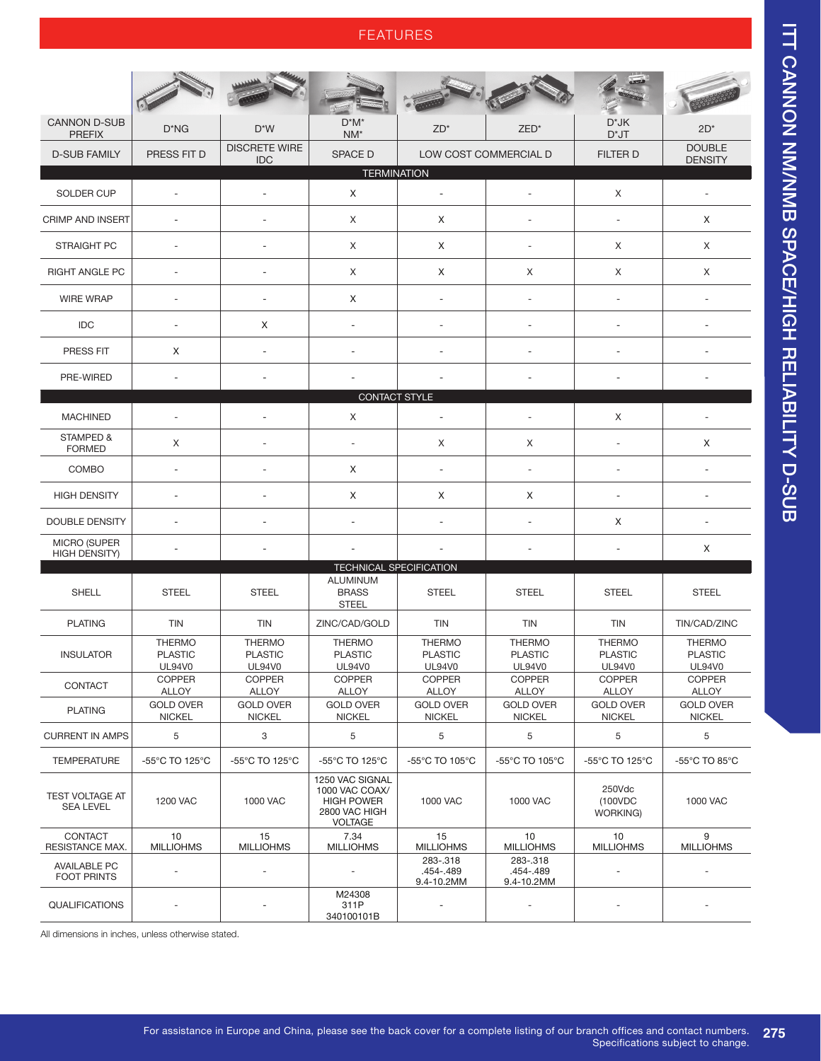## FEATURES

| <b>CANNON D-SUB</b><br><b>PREFIX</b>        | $D^*NG$                                          | $D^*W$                                    | $D^*M^*$<br>$NM^*$                                                                        | $ZD^*$                                           | ZED*                                             | $D^*JK$<br>$D^*JT$                        | $2D^*$                                           |  |  |  |
|---------------------------------------------|--------------------------------------------------|-------------------------------------------|-------------------------------------------------------------------------------------------|--------------------------------------------------|--------------------------------------------------|-------------------------------------------|--------------------------------------------------|--|--|--|
| <b>D-SUB FAMILY</b>                         | PRESS FIT D                                      | <b>DISCRETE WIRE</b><br><b>IDC</b>        | <b>SPACE D</b>                                                                            | LOW COST COMMERCIAL D                            |                                                  | <b>FILTER D</b>                           | <b>DOUBLE</b><br><b>DENSITY</b>                  |  |  |  |
| <b>TERMINATION</b>                          |                                                  |                                           |                                                                                           |                                                  |                                                  |                                           |                                                  |  |  |  |
| <b>SOLDER CUP</b>                           |                                                  |                                           | X                                                                                         |                                                  |                                                  | X                                         |                                                  |  |  |  |
| <b>CRIMP AND INSERT</b>                     | $\overline{\phantom{a}}$                         |                                           | X                                                                                         | X                                                |                                                  | ÷                                         | X                                                |  |  |  |
| <b>STRAIGHT PC</b>                          | $\overline{\phantom{a}}$                         | ٠                                         | X                                                                                         | X                                                | $\overline{\phantom{a}}$                         | X                                         | X                                                |  |  |  |
| RIGHT ANGLE PC                              | ä,                                               |                                           | X                                                                                         | X                                                | X                                                | X                                         | X                                                |  |  |  |
| <b>WIRE WRAP</b>                            | ÷,                                               |                                           | X                                                                                         | ä,                                               |                                                  |                                           |                                                  |  |  |  |
| <b>IDC</b>                                  | ÷.                                               | X                                         | ä,                                                                                        | ٠                                                | ÷,                                               | $\sim$                                    | $\sim$                                           |  |  |  |
| PRESS FIT                                   | X                                                |                                           | $\overline{a}$                                                                            |                                                  | ÷,                                               |                                           |                                                  |  |  |  |
| PRE-WIRED                                   | ٠                                                |                                           |                                                                                           |                                                  |                                                  |                                           |                                                  |  |  |  |
|                                             |                                                  |                                           | CONTACT STYLE                                                                             |                                                  |                                                  |                                           |                                                  |  |  |  |
| <b>MACHINED</b>                             | ÷.                                               |                                           | X                                                                                         | ÷,                                               | ÷                                                | X                                         |                                                  |  |  |  |
| STAMPED &<br><b>FORMED</b>                  | X                                                |                                           | ÷,                                                                                        | X                                                | X                                                | $\overline{\phantom{a}}$                  | X                                                |  |  |  |
| COMBO                                       | $\overline{\phantom{a}}$                         |                                           | Χ                                                                                         | $\overline{\phantom{a}}$                         | $\overline{\phantom{a}}$                         | $\overline{\phantom{a}}$                  | $\overline{\phantom{a}}$                         |  |  |  |
| <b>HIGH DENSITY</b>                         | $\sim$                                           |                                           | X                                                                                         | X                                                | X                                                |                                           | ÷                                                |  |  |  |
| <b>DOUBLE DENSITY</b>                       | ä,                                               |                                           |                                                                                           | ٠                                                | ÷,                                               | Χ                                         |                                                  |  |  |  |
| <b>MICRO (SUPER</b><br><b>HIGH DENSITY)</b> |                                                  |                                           | ä,                                                                                        |                                                  |                                                  |                                           | X                                                |  |  |  |
|                                             |                                                  |                                           | <b>TECHNICAL SPECIFICATION</b>                                                            |                                                  |                                                  |                                           |                                                  |  |  |  |
| <b>SHELL</b>                                | <b>STEEL</b>                                     | <b>STEEL</b>                              | <b>ALUMINUM</b><br><b>BRASS</b><br><b>STEEL</b>                                           | <b>STEEL</b>                                     | <b>STEEL</b>                                     | <b>STEEL</b>                              | <b>STEEL</b>                                     |  |  |  |
| <b>PLATING</b>                              | <b>TIN</b>                                       | <b>TIN</b>                                | ZINC/CAD/GOLD                                                                             | <b>TIN</b>                                       | <b>TIN</b>                                       | <b>TIN</b>                                | TIN/CAD/ZINC                                     |  |  |  |
| <b>INSULATOR</b>                            | <b>THERMO</b><br><b>PLASTIC</b><br><b>UL94V0</b> | <b>THERMO</b><br><b>PLASTIC</b><br>UL94V0 | <b>THERMO</b><br><b>PLASTIC</b><br><b>UL94V0</b>                                          | <b>THERMO</b><br><b>PLASTIC</b><br><b>UL94V0</b> | <b>THERMO</b><br><b>PLASTIC</b><br><b>UL94V0</b> | <b>THERMO</b><br><b>PLASTIC</b><br>UL94V0 | <b>THERMO</b><br><b>PLASTIC</b><br><b>UL94V0</b> |  |  |  |
| CONTACT                                     | <b>COPPER</b><br><b>ALLOY</b>                    | <b>COPPER</b><br><b>ALLOY</b>             | <b>COPPER</b><br><b>ALLOY</b>                                                             | <b>COPPER</b><br><b>ALLOY</b>                    | <b>COPPER</b><br><b>ALLOY</b>                    | <b>COPPER</b><br><b>ALLOY</b>             | <b>COPPER</b><br><b>ALLOY</b>                    |  |  |  |
| <b>PLATING</b>                              | <b>GOLD OVER</b><br><b>NICKEL</b>                | <b>GOLD OVER</b><br><b>NICKEL</b>         | <b>GOLD OVER</b><br><b>NICKEL</b>                                                         | <b>GOLD OVER</b><br><b>NICKEL</b>                | <b>GOLD OVER</b><br><b>NICKEL</b>                | <b>GOLD OVER</b><br><b>NICKEL</b>         | <b>GOLD OVER</b><br><b>NICKEL</b>                |  |  |  |
| <b>CURRENT IN AMPS</b>                      | 5                                                | 3                                         | 5                                                                                         | 5                                                | 5                                                | 5                                         | 5                                                |  |  |  |
| <b>TEMPERATURE</b>                          | -55°C TO 125°C                                   | -55°C TO 125°C                            | -55°C TO 125°C                                                                            | -55°C TO 105°C                                   | -55°C TO 105°C                                   | -55°C TO 125°C                            | -55°C TO 85°C                                    |  |  |  |
| <b>TEST VOLTAGE AT</b><br><b>SEA LEVEL</b>  | 1200 VAC                                         | 1000 VAC                                  | 1250 VAC SIGNAL<br>1000 VAC COAX/<br><b>HIGH POWER</b><br>2800 VAC HIGH<br><b>VOLTAGE</b> | 1000 VAC                                         | 1000 VAC                                         | 250Vdc<br>(100VDC<br>WORKING)             | 1000 VAC                                         |  |  |  |
| CONTACT<br>RESISTANCE MAX.                  | 10<br><b>MILLIOHMS</b>                           | 15<br><b>MILLIOHMS</b>                    | 7.34<br><b>MILLIOHMS</b>                                                                  | 15<br><b>MILLIOHMS</b>                           | 10<br><b>MILLIOHMS</b>                           | 10<br><b>MILLIOHMS</b>                    | 9<br><b>MILLIOHMS</b>                            |  |  |  |
| <b>AVAILABLE PC</b><br><b>FOOT PRINTS</b>   |                                                  |                                           |                                                                                           | 283-.318<br>.454-.489<br>9.4-10.2MM              | 283-.318<br>.454-.489<br>9.4-10.2MM              |                                           |                                                  |  |  |  |
| <b>QUALIFICATIONS</b>                       |                                                  |                                           | M24308<br>311P<br>340100101B                                                              |                                                  |                                                  |                                           |                                                  |  |  |  |

All dimensions in inches, unless otherwise stated.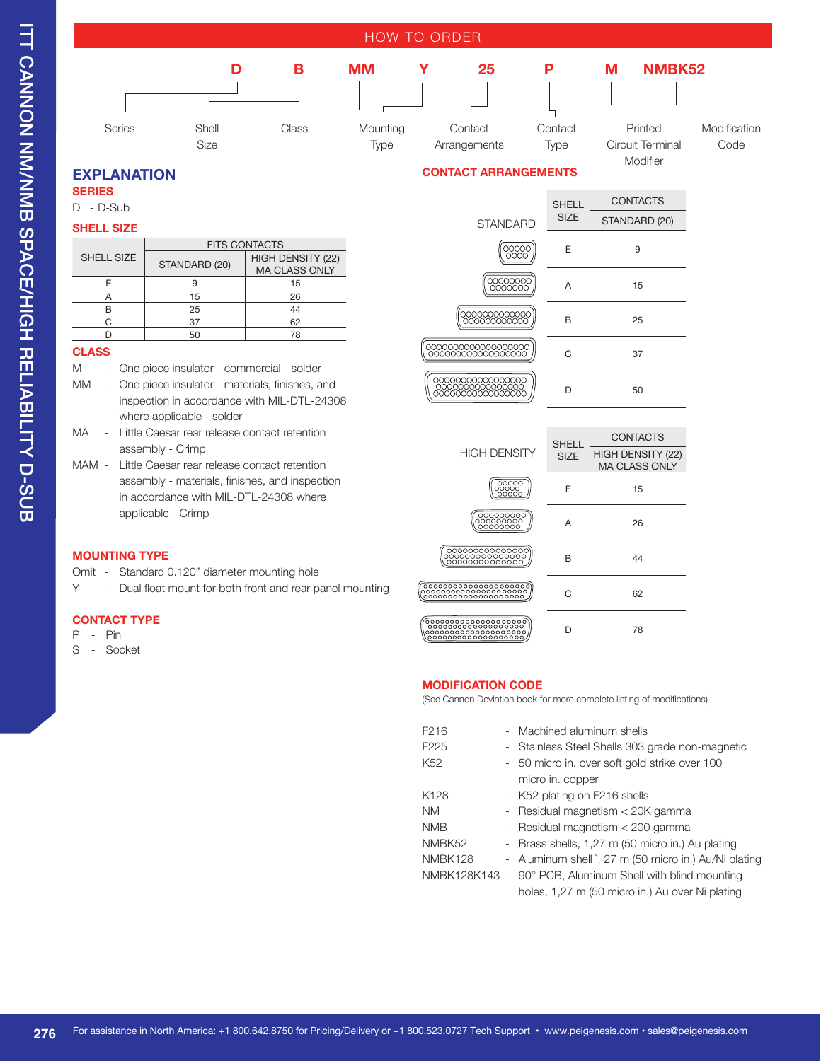

### **EXPLANATION**

**SERIES** 

D - D-Sub

### **SHELL SIZE**

| <b>FITS CONTACTS</b> |                                           |  |  |  |
|----------------------|-------------------------------------------|--|--|--|
| STANDARD (20)        | HIGH DENSITY (22)<br><b>MA CLASS ONLY</b> |  |  |  |
|                      | 15                                        |  |  |  |
| 15                   | 26                                        |  |  |  |
| 25                   | 44                                        |  |  |  |
| 37                   | 62                                        |  |  |  |
| 50                   | 78                                        |  |  |  |
|                      |                                           |  |  |  |

### **CLASS**

 $\overline{\phantom{0}}$  $\frac{1}{\sqrt{2}}$  $\overline{a}$  $\overline{\phantom{0}}$ 

- M One piece insulator commercial solder
- MM One piece insulator materials, finishes, and inspection in accordance with MIL-DTL-24308 where applicable - solder
- MA Little Caesar rear release contact retention assembly - Crimp
- MAM Little Caesar rear release contact retention assembly - materials, finishes, and inspection in accordance with MIL-DTL-24308 where applicable - Crimp

### **MOUNTING TYPE**

- Omit Standard 0.120" diameter mounting hole
- Y Dual float mount for both front and rear panel mounting

### **CONTACT TYPE**

- $P Pin$
- S Socket

### **CONTACT ARRANGEMENTS**

|                                                         | <b>SHELL</b>                | <b>CONTACTS</b>                           |
|---------------------------------------------------------|-----------------------------|-------------------------------------------|
| <b>STANDARD</b>                                         | <b>SIZE</b>                 | STANDARD (20)                             |
| 00000<br>0000                                           | E                           | 9                                         |
| 00000000<br>0000000                                     | А                           | 15                                        |
| 000000000000<br>000000000000                            | в                           | 25                                        |
|                                                         | C                           | 37                                        |
|                                                         | D                           | 50                                        |
|                                                         |                             |                                           |
|                                                         |                             |                                           |
|                                                         |                             | <b>CONTACTS</b>                           |
| <b>HIGH DENSITY</b>                                     | <b>SHELL</b><br><b>SIZE</b> | HIGH DENSITY (22)<br><b>MA CLASS ONLY</b> |
| $\frac{\overline{\text{00000}}}{\text{00000}}$          | F                           | 15                                        |
| 000000000                                               | А                           | 26                                        |
| 00000000000000<br>00000000000000<br>00000000000000      | в                           | 44                                        |
| 000000000000000000000<br>°°°°°°°°°°°°°°°°°°°°°°°°°°°°°° | С                           | 62                                        |

### **MODIFICATION CODE**

(See Cannon Deviation book for more complete listing of modifications)

D 78

| F <sub>216</sub>   | - Machined aluminum shells                                |
|--------------------|-----------------------------------------------------------|
| F <sub>225</sub>   | - Stainless Steel Shells 303 grade non-magnetic           |
| K <sub>52</sub>    | - 50 micro in. over soft gold strike over 100             |
|                    | micro in. copper                                          |
| K <sub>128</sub>   | - K52 plating on F216 shells                              |
| <b>NM</b>          | - Residual magnetism < 20K gamma                          |
| <b>NMB</b>         | - Residual magnetism < 200 gamma                          |
| NMBK <sub>52</sub> | - Brass shells, 1,27 m (50 micro in.) Au plating          |
| NMBK128            | - Aluminum shell `, 27 m (50 micro in.) Au/Ni plating     |
|                    | NMBK128K143 - 90° PCB, Aluminum Shell with blind mounting |
|                    | holes, 1,27 m (50 micro in.) Au over Ni plating           |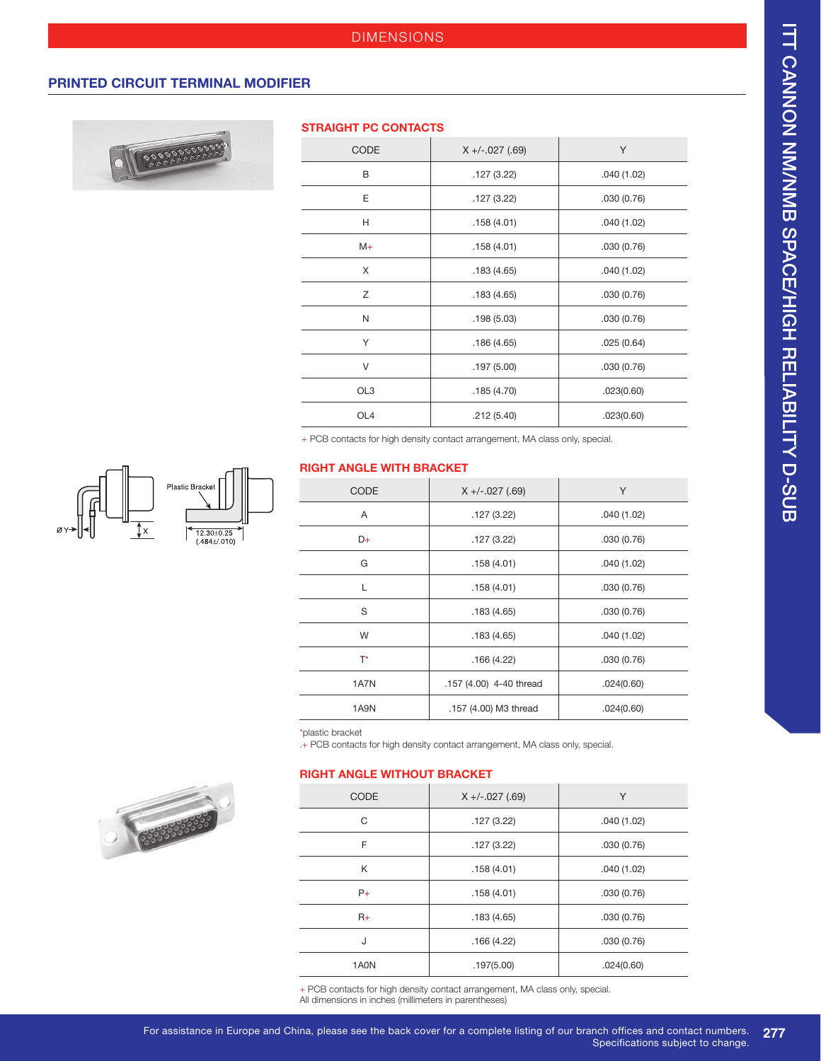### **PRINTED CIRCUIT TERMINAL MODIFIER**



### **STRAIGHT PC CONTACTS**

| $X + (-.027 (.69)$ | Y          |
|--------------------|------------|
| .127(3.22)         | .040(1.02) |
| .127(3.22)         | .030(0.76) |
| .158(4.01)         | .040(1.02) |
| .158(4.01)         | .030(0.76) |
| .183(4.65)         | .040(1.02) |
| .183(4.65)         | .030(0.76) |
| .198(5.03)         | .030(0.76) |
| .186(4.65)         | .025(0.64) |
| .197(5.00)         | .030(0.76) |
| .185(4.70)         | .023(0.60) |
| .212(5.40)         | .023(0.60) |
|                    |            |

+ PCB contacts for high density contact arrangement, MA class only, special.

### **RIGHT ANGLE WITH BRACKET**

| <b>CODE</b> | $X + (-.027 (.69))$     | Y          |
|-------------|-------------------------|------------|
| A           | .127(3.22)              | .040(1.02) |
| D+          | .127(3.22)              | .030(0.76) |
| G           | .158(4.01)              | .040(1.02) |
| L           | .158(4.01)              | .030(0.76) |
| S           | .183(4.65)              | .030(0.76) |
| W           | .183(4.65)              | .040(1.02) |
| $T^*$       | .166(4.22)              | .030(0.76) |
| 1A7N        | .157 (4.00) 4-40 thread | .024(0.60) |
| 1A9N        | .157 (4.00) M3 thread   | .024(0.60) |

\*plastic bracket

 $\overline{\phantom{a}}$ 

 $+$  PCB contacts for high density contact arrangement, MA class only, special.

### **RIGHT ANGLE WITHOUT BRACKET**

| <b>CODE</b> | $X + (-.027 (.69))$ | Y          |
|-------------|---------------------|------------|
| C           | .127(3.22)          | .040(1.02) |
| F           | .127(3.22)          | .030(0.76) |
| K           | .158(4.01)          | .040(1.02) |
| $P+$        | .158(4.01)          | .030(0.76) |
| $R_{+}$     | .183(4.65)          | .030(0.76) |
| J           | .166(4.22)          | .030(0.76) |
| 1A0N        | .197(5.00)          | .024(0.60) |

+ PCB contacts for high density contact arrangement, MA class only, special. All dimensions in inches (millimeters in parentheses)



333333333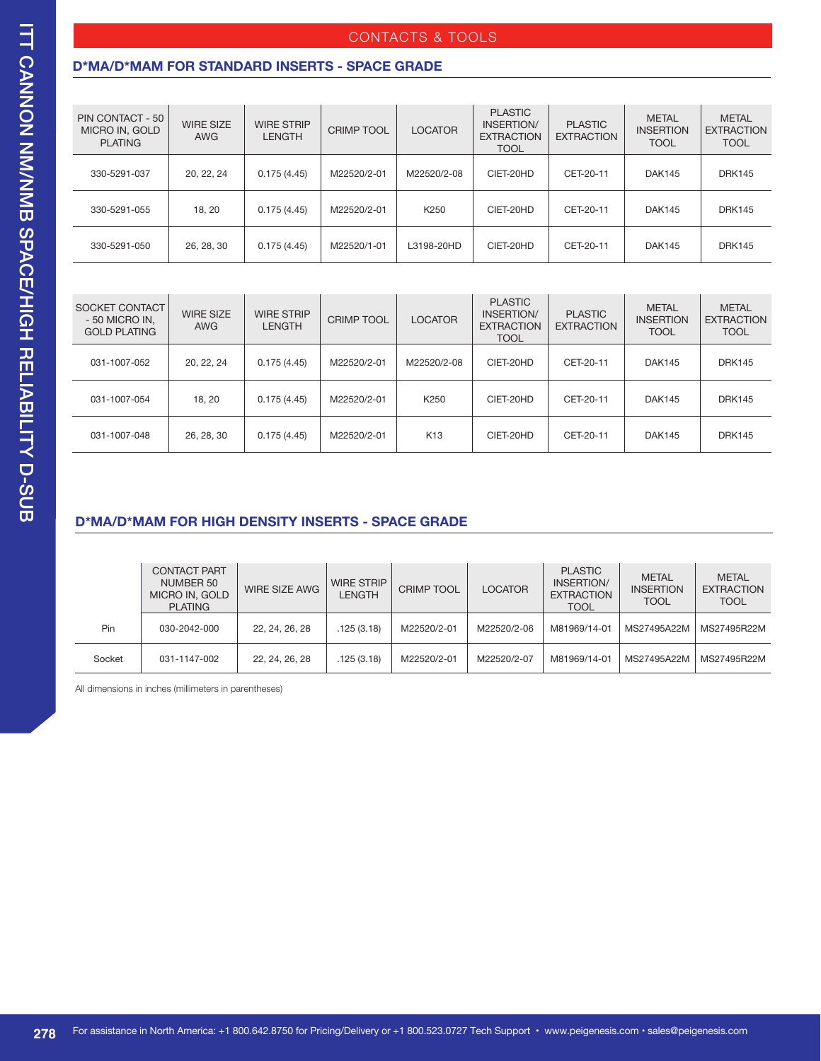### CONTACTS & TOOLS

### **D\*MA/D\*MAM FOR STANDARD INSERTS - SPACE GRADE**

| PIN CONTACT - 50<br>MICRO IN, GOLD<br><b>PLATING</b> | <b>WIRE SIZE</b><br><b>AWG</b> | <b>WIRE STRIP</b><br><b>LENGTH</b> | <b>CRIMP TOOL</b> | <b>LOCATOR</b> | <b>PLASTIC</b><br>INSERTION/<br><b>EXTRACTION</b><br><b>TOOL</b> | <b>PLASTIC</b><br><b>EXTRACTION</b> | <b>METAL</b><br><b>INSERTION</b><br><b>TOOL</b> | <b>METAL</b><br><b>EXTRACTION</b><br><b>TOOL</b> |
|------------------------------------------------------|--------------------------------|------------------------------------|-------------------|----------------|------------------------------------------------------------------|-------------------------------------|-------------------------------------------------|--------------------------------------------------|
| 330-5291-037                                         | 20, 22, 24                     | 0.175(4.45)                        | M22520/2-01       | M22520/2-08    | CIET-20HD                                                        | CET-20-11                           | <b>DAK145</b>                                   | <b>DRK145</b>                                    |
| 330-5291-055                                         | 18, 20                         | 0.175(4.45)                        | M22520/2-01       | K250           | CIET-20HD                                                        | CET-20-11                           | <b>DAK145</b>                                   | <b>DRK145</b>                                    |
| 330-5291-050                                         | 26, 28, 30                     | 0.175(4.45)                        | M22520/1-01       | L3198-20HD     | CIET-20HD                                                        | CET-20-11                           | <b>DAK145</b>                                   | <b>DRK145</b>                                    |

| SOCKET CONTACT<br>- 50 MICRO IN.<br><b>GOLD PLATING</b> | <b>WIRE SIZE</b><br><b>AWG</b> | <b>WIRE STRIP</b><br><b>LENGTH</b> | <b>CRIMP TOOL</b> | LOCATOR         | <b>PLASTIC</b><br>INSERTION/<br><b>EXTRACTION</b><br><b>TOOL</b> | <b>PLASTIC</b><br><b>EXTRACTION</b> | <b>METAL</b><br><b>INSERTION</b><br><b>TOOL</b> | <b>METAL</b><br><b>EXTRACTION</b><br><b>TOOL</b> |
|---------------------------------------------------------|--------------------------------|------------------------------------|-------------------|-----------------|------------------------------------------------------------------|-------------------------------------|-------------------------------------------------|--------------------------------------------------|
| 031-1007-052                                            | 20, 22, 24                     | 0.175(4.45)                        | M22520/2-01       | M22520/2-08     | CIET-20HD                                                        | CET-20-11                           | <b>DAK145</b>                                   | <b>DRK145</b>                                    |
| 031-1007-054                                            | 18, 20                         | 0.175(4.45)                        | M22520/2-01       | K250            | CIET-20HD                                                        | CET-20-11                           | <b>DAK145</b>                                   | <b>DRK145</b>                                    |
| 031-1007-048                                            | 26, 28, 30                     | 0.175(4.45)                        | M22520/2-01       | K <sub>13</sub> | CIET-20HD                                                        | CET-20-11                           | <b>DAK145</b>                                   | <b>DRK145</b>                                    |

### **D\*MA/D\*MAM FOR HIGH DENSITY INSERTS - SPACE GRADE**

|        | <b>CONTACT PART</b><br>NUMBER 50<br>MICRO IN, GOLD<br><b>PLATING</b> | WIRE SIZE AWG  | <b>WIRE STRIP</b><br>LENGTH | <b>CRIMP TOOL</b> | <b>LOCATOR</b> | <b>PLASTIC</b><br>INSERTION/<br><b>EXTRACTION</b><br><b>TOOL</b> | <b>METAL</b><br><b>INSERTION</b><br><b>TOOL</b> | <b>METAL</b><br><b>EXTRACTION</b><br><b>TOOL</b> |
|--------|----------------------------------------------------------------------|----------------|-----------------------------|-------------------|----------------|------------------------------------------------------------------|-------------------------------------------------|--------------------------------------------------|
| Pin    | 030-2042-000                                                         | 22, 24, 26, 28 | .125(3.18)                  | M22520/2-01       | M22520/2-06    | M81969/14-01                                                     | MS27495A22M                                     | MS27495R22M                                      |
| Socket | 031-1147-002                                                         | 22, 24, 26, 28 | .125(3.18)                  | M22520/2-01       | M22520/2-07    | M81969/14-01                                                     | MS27495A22M                                     | MS27495R22M                                      |

All dimensions in inches (millimeters in parentheses)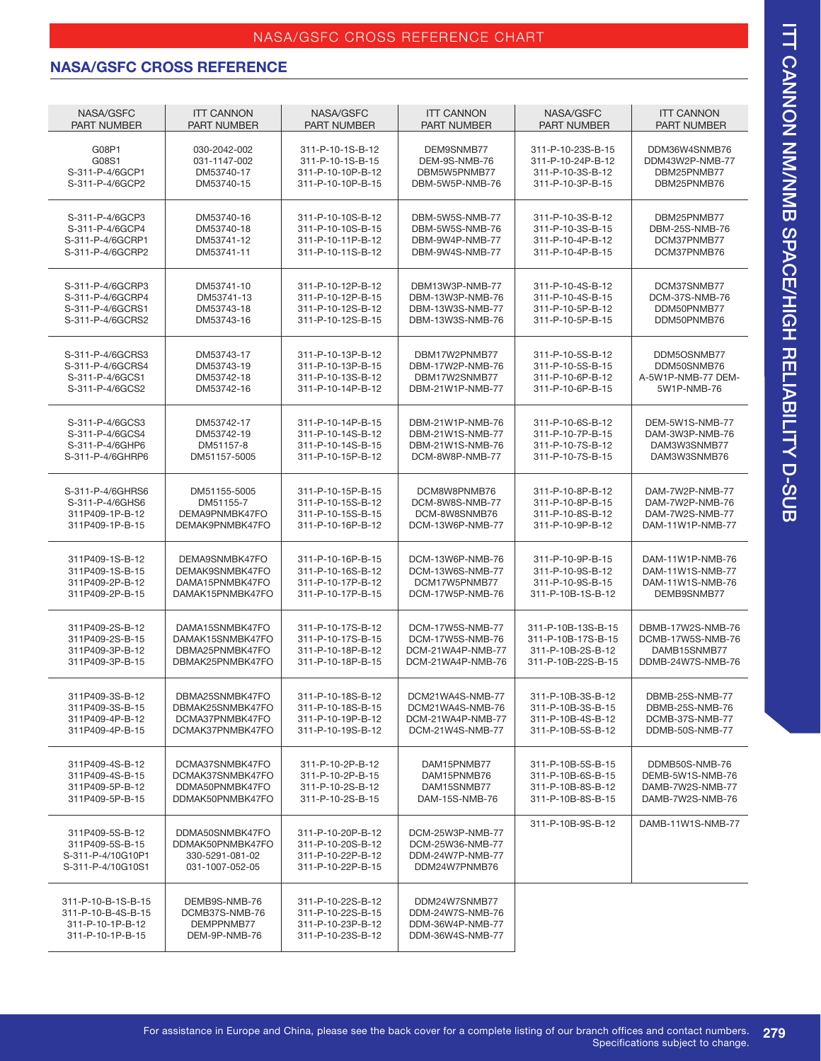### NASA/GSFC CROSS REFERENCE CHART

## **NASA/GSFC CROSS REFERENCE**

| NASA/GSFC                                                                        | <b>ITT CANNON</b>                                                         | NASA/GSFC                                                                        | <b>ITT CANNON</b>                                                         | NASA/GSFC          | <b>ITT CANNON</b>  |
|----------------------------------------------------------------------------------|---------------------------------------------------------------------------|----------------------------------------------------------------------------------|---------------------------------------------------------------------------|--------------------|--------------------|
| <b>PART NUMBER</b>                                                               | <b>PART NUMBER</b>                                                        | <b>PART NUMBER</b>                                                               | <b>PART NUMBER</b>                                                        | <b>PART NUMBER</b> | <b>PART NUMBER</b> |
| G08P1                                                                            | 030-2042-002                                                              | 311-P-10-1S-B-12                                                                 | DEM9SNMB77                                                                | 311-P-10-23S-B-15  | DDM36W4SNMB76      |
| G08S1                                                                            | 031-1147-002                                                              | 311-P-10-1S-B-15                                                                 | DEM-9S-NMB-76                                                             | 311-P-10-24P-B-12  | DDM43W2P-NMB-77    |
| S-311-P-4/6GCP1                                                                  | DM53740-17                                                                | 311-P-10-10P-B-12                                                                | DRM5W5PNMB77                                                              | 311-P-10-3S-B-12   | DBM25PNMB77        |
| S-311-P-4/6GCP2                                                                  | DM53740-15                                                                | 311-P-10-10P-B-15                                                                | DBM-5W5P-NMB-76                                                           | 311-P-10-3P-B-15   | DBM25PNMB76        |
| S-311-P-4/6GCP3                                                                  | DM53740-16                                                                | 311-P-10-10S-B-12                                                                | DBM-5W5S-NMB-77                                                           | 311-P-10-3S-B-12   | DBM25PNMB77        |
| S-311-P-4/6GCP4                                                                  | DM53740-18                                                                | 311-P-10-10S-B-15                                                                | DBM-5W5S-NMB-76                                                           | 311-P-10-3S-B-15   | DBM-25S-NMB-76     |
| S-311-P-4/6GCRP1                                                                 | DM53741-12                                                                | 311-P-10-11P-B-12                                                                | DBM-9W4P-NMB-77                                                           | 311-P-10-4P-B-12   | DCM37PNMB77        |
| S-311-P-4/6GCRP2                                                                 | DM53741-11                                                                | 311-P-10-11S-B-12                                                                | DBM-9W4S-NMB-77                                                           | 311-P-10-4P-B-15   | DCM37PNMB76        |
| S-311-P-4/6GCRP3                                                                 | DM53741-10                                                                | 311-P-10-12P-B-12                                                                | DBM13W3P-NMB-77                                                           | 311-P-10-4S-B-12   | DCM37SNMB77        |
| S-311-P-4/6GCRP4                                                                 | DM53741-13                                                                | 311-P-10-12P-B-15                                                                | DBM-13W3P-NMB-76                                                          | 311-P-10-4S-B-15   | DCM-37S-NMB-76     |
| S-311-P-4/6GCRS1                                                                 | DM53743-18                                                                | 311-P-10-12S-B-12                                                                | DBM-13W3S-NMB-77                                                          | 311-P-10-5P-B-12   | DDM50PNMB77        |
| S-311-P-4/6GCRS2                                                                 | DM53743-16                                                                | 311-P-10-12S-B-15                                                                | DBM-13W3S-NMB-76                                                          | 311-P-10-5P-B-15   | DDM50PNMB76        |
| S-311-P-4/6GCRS3                                                                 | DM53743-17                                                                | 311-P-10-13P-B-12                                                                | DBM17W2PNMB77                                                             | 311-P-10-5S-B-12   | DDM5OSNMB77        |
| S-311-P-4/6GCRS4                                                                 | DM53743-19                                                                | 311-P-10-13P-B-15                                                                | DBM-17W2P-NMB-76                                                          | 311-P-10-5S-B-15   | DDM50SNMB76        |
| S-311-P-4/6GCS1                                                                  | DM53742-18                                                                | 311-P-10-13S-B-12                                                                | DBM17W2SNMB77                                                             | 311-P-10-6P-B-12   | A-5W1P-NMB-77 DEM- |
| S-311-P-4/6GCS2                                                                  | DM53742-16                                                                | 311-P-10-14P-B-12                                                                | DBM-21W1P-NMB-77                                                          | 311-P-10-6P-B-15   | 5W1P-NMB-76        |
| S-311-P-4/6GCS3                                                                  | DM53742-17                                                                | 311-P-10-14P-B-15                                                                | DBM-21W1P-NMB-76                                                          | 311-P-10-6S-B-12   | DEM-5W1S-NMB-77    |
| S-311-P-4/6GCS4                                                                  | DM53742-19                                                                | 311-P-10-14S-B-12                                                                | DBM-21W1S-NMB-77                                                          | 311-P-10-7P-B-15   | DAM-3W3P-NMB-76    |
| S-311-P-4/6GHP6                                                                  | DM51157-8                                                                 | 311-P-10-14S-B-15                                                                | DBM-21W1S-NMB-76                                                          | 311-P-10-7S-B-12   | DAM3W3SNMB77       |
| S-311-P-4/6GHRP6                                                                 | DM51157-5005                                                              | 311-P-10-15P-B-12                                                                | DCM-8W8P-NMB-77                                                           | 311-P-10-7S-B-15   | DAM3W3SNMB76       |
| S-311-P-4/6GHRS6                                                                 | DM51155-5005                                                              | 311-P-10-15P-B-15                                                                | DCM8W8PNMB76                                                              | 311-P-10-8P-B-12   | DAM-7W2P-NMB-77    |
| S-311-P-4/6GHS6                                                                  | DM51155-7                                                                 | 311-P-10-15S-B-12                                                                | DCM-8W8S-NMB-77                                                           | 311-P-10-8P-B-15   | DAM-7W2P-NMB-76    |
| 311P409-1P-B-12                                                                  | DEMA9PNMBK47FO                                                            | 311-P-10-15S-B-15                                                                | DCM-8W8SNMB76                                                             | 311-P-10-8S-B-12   | DAM-7W2S-NMB-77    |
| 311P409-1P-B-15                                                                  | DEMAK9PNMBK47FO                                                           | 311-P-10-16P-B-12                                                                | DCM-13W6P-NMB-77                                                          | 311-P-10-9P-B-12   | DAM-11W1P-NMB-77   |
| 311P409-1S-B-12                                                                  | DEMA9SNMBK47FO                                                            | 311-P-10-16P-B-15                                                                | DCM-13W6P-NMB-76                                                          | 311-P-10-9P-B-15   | DAM-11W1P-NMB-76   |
| 311P409-1S-B-15                                                                  | DEMAK9SNMBK47FO                                                           | 311-P-10-16S-B-12                                                                | DCM-13W6S-NMB-77                                                          | 311-P-10-9S-B-12   | DAM-11W1S-NMB-77   |
| 311P409-2P-B-12                                                                  | DAMA15PNMBK47FO                                                           | 311-P-10-17P-B-12                                                                | DCM17W5PNMB77                                                             | 311-P-10-9S-B-15   | DAM-11W1S-NMB-76   |
| 311P409-2P-B-15                                                                  | DAMAK15PNMBK47FO                                                          | 311-P-10-17P-B-15                                                                | DCM-17W5P-NMB-76                                                          | 311-P-10B-1S-B-12  | DEMB9SNMB77        |
| 311P409-2S-B-12                                                                  | DAMA15SNMBK47FO                                                           | 311-P-10-17S-B-12                                                                | DCM-17W5S-NMB-77                                                          | 311-P-10B-13S-B-15 | DBMB-17W2S-NMB-76  |
| 311P409-2S-B-15                                                                  | DAMAK15SNMBK47FO                                                          | 311-P-10-17S-B-15                                                                | DCM-17W5S-NMB-76                                                          | 311-P-10B-17S-B-15 | DCMB-17W5S-NMB-76  |
| 311P409-3P-B-12                                                                  | DBMA25PNMBK47FO                                                           | 311-P-10-18P-B-12                                                                | DCM-21WA4P-NMB-77                                                         | 311-P-10B-2S-B-12  | DAMB15SNMB77       |
| 311P409-3P-B-15                                                                  | DBMAK25PNMBK47FO                                                          | 311-P-10-18P-B-15                                                                | DCM-21WA4P-NMB-76                                                         | 311-P-10B-22S-B-15 | DDMB-24W7S-NMB-76  |
| 311P409-3S-B-12                                                                  | DBMA25SNMBK47FO                                                           | 311-P-10-18S-B-12                                                                | DCM21WA4S-NMB-77                                                          | 311-P-10B-3S-B-12  | DBMB-25S-NMB-77    |
| 311P409-3S-B-15                                                                  | DBMAK25SNMBK47FO                                                          | 311-P-10-18S-B-15                                                                | DCM21WA4S-NMB-76                                                          | 311-P-10B-3S-B-15  | DBMB-25S-NMB-76    |
| 311P409-4P-B-12                                                                  | DCMA37PNMBK47FO                                                           | 311-P-10-19P-B-12                                                                | DCM-21WA4P-NMB-77                                                         | 311-P-10B-4S-B-12  | DCMB-37S-NMB-77    |
| 311P409-4P-B-15                                                                  | DCMAK37PNMBK47FO                                                          | 311-P-10-19S-B-12                                                                | DCM-21W4S-NMB-77                                                          | 311-P-10B-5S-B-12  | DDMB-50S-NMB-77    |
| 311P409-4S-B-12                                                                  | DCMA37SNMBK47FO                                                           | 311-P-10-2P-B-12                                                                 | DAM15PNMB77                                                               | 311-P-10B-5S-B-15  | DDMB50S-NMB-76     |
| 311P409-4S-B-15                                                                  | DCMAK37SNMBK47FO                                                          | 311-P-10-2P-B-15                                                                 | DAM15PNMB76                                                               | 311-P-10B-6S-B-15  | DEMB-5W1S-NMB-76   |
| 311P409-5P-B-12                                                                  | DDMA50PNMBK47FO                                                           | 311-P-10-2S-B-12                                                                 | DAM15SNMB77                                                               | 311-P-10B-8S-B-12  | DAMB-7W2S-NMB-77   |
| 311P409-5P-B-15                                                                  | DDMAK50PNMBK47FO                                                          | 311-P-10-2S-B-15                                                                 | DAM-15S-NMB-76                                                            | 311-P-10B-8S-B-15  | DAMB-7W2S-NMB-76   |
| 311P409-5S-B-12<br>311P409-5S-B-15<br>S-311-P-4/10G10P1<br>S-311-P-4/10G10S1     | DDMA50SNMBK47FO<br>DDMAK50PNMBK47FO<br>330-5291-081-02<br>031-1007-052-05 | 311-P-10-20P-B-12<br>311-P-10-20S-B-12<br>311-P-10-22P-B-12<br>311-P-10-22P-B-15 | DCM-25W3P-NMB-77<br>DCM-25W36-NMB-77<br>DDM-24W7P-NMB-77<br>DDM24W7PNMB76 | 311-P-10B-9S-B-12  | DAMB-11W1S-NMB-77  |
| 311-P-10-B-1S-B-15<br>311-P-10-B-4S-B-15<br>311-P-10-1P-B-12<br>311-P-10-1P-B-15 | DEMB9S-NMB-76<br>DCMB37S-NMB-76<br>DEMPPNMB77<br>DEM-9P-NMB-76            | 311-P-10-22S-B-12<br>311-P-10-22S-B-15<br>311-P-10-23P-B-12<br>311-P-10-23S-B-12 | DDM24W7SNMB77<br>DDM-24W7S-NMB-76<br>DDM-36W4P-NMB-77<br>DDM-36W4S-NMB-77 |                    |                    |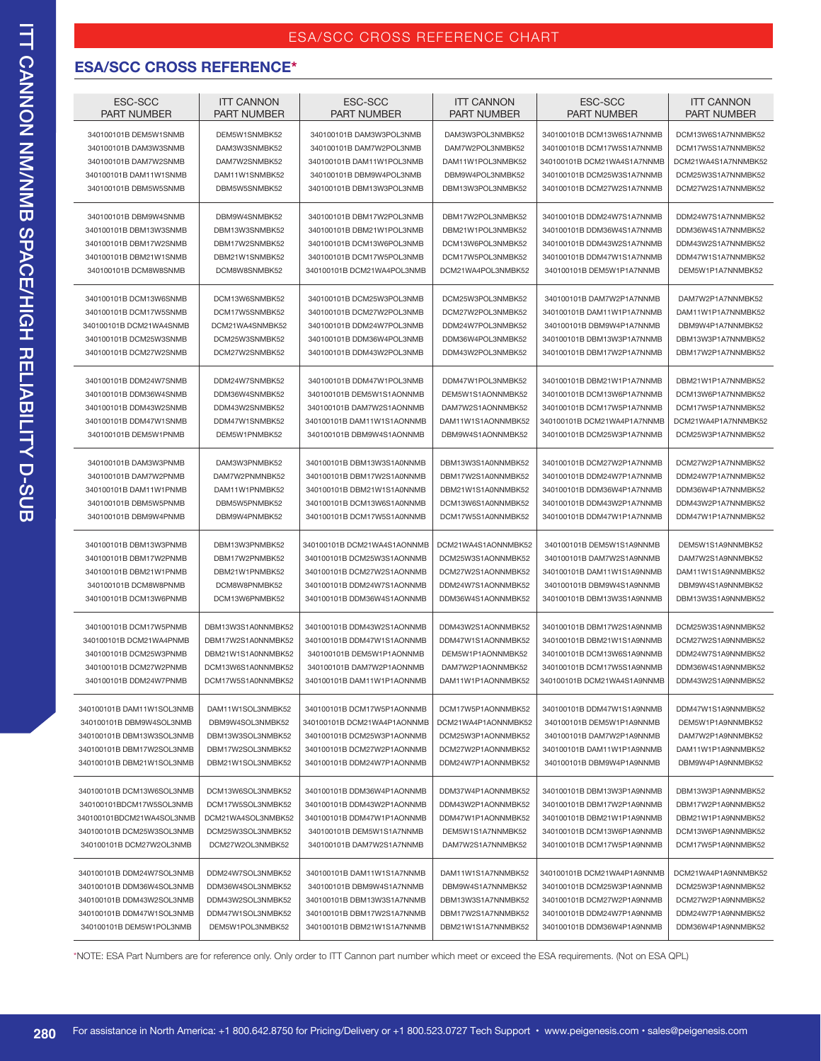### **ESA/SCC CROSS REFERENCE\***

| ESC-SCC<br><b>PART NUMBER</b> | <b>ITT CANNON</b><br><b>PART NUMBER</b> | ESC-SCC<br><b>PART NUMBER</b> | <b>ITT CANNON</b><br><b>PART NUMBER</b> | ESC-SCC<br><b>PART NUMBER</b> | <b>ITT CANNON</b><br><b>PART NUMBER</b> |
|-------------------------------|-----------------------------------------|-------------------------------|-----------------------------------------|-------------------------------|-----------------------------------------|
| 340100101B DEM5W1SNMB         | DEM5W1SNMBK52                           | 340100101B DAM3W3POL3NMB      | DAM3W3POL3NMBK52                        | 340100101B DCM13W6S1A7NNMB    | DCM13W6S1A7NNMBK52                      |
| 340100101B DAM3W3SNMB         | DAM3W3SNMBK52                           | 340100101B DAM7W2POL3NMB      | DAM7W2POL3NMBK52                        | 340100101B DCM17W5S1A7NNMB    | DCM17W5S1A7NNMBK52                      |
| 340100101B DAM7W2SNMB         | DAM7W2SNMBK52                           | 340100101B DAM11W1POL3NMB     | DAM11W1POL3NMBK52                       | 340100101B DCM21WA4S1A7NNMB   | DCM21WA4S1A7NNMBK52                     |
| 340100101B DAM11W1SNMB        | DAM11W1SNMBK52                          | 340100101B DBM9W4POL3NMB      | DBM9W4POL3NMBK52                        | 340100101B DCM25W3S1A7NNMB    | DCM25W3S1A7NNMBK52                      |
| 340100101B DBM5W5SNMB         | DBM5W5SNMBK52                           | 340100101B DBM13W3POL3NMB     | DBM13W3POL3NMBK52                       | 340100101B DCM27W2S1A7NNMB    | DCM27W2S1A7NNMBK52                      |
| 340100101B DBM9W4SNMB         | DBM9W4SNMBK52                           | 340100101B DBM17W2POL3NMB     | DBM17W2POL3NMBK52                       | 340100101B DDM24W7S1A7NNMB    | DDM24W7S1A7NNMBK52                      |
| 340100101B DBM13W3SNMB        | DBM13W3SNMBK52                          | 340100101B DBM21W1POL3NMB     | DBM21W1POL3NMBK52                       | 340100101B DDM36W4S1A7NNMB    | DDM36W4S1A7NNMBK52                      |
| 340100101B DBM17W2SNMB        | DBM17W2SNMBK52                          | 340100101B DCM13W6POL3NMB     | DCM13W6POL3NMBK52                       | 340100101B DDM43W2S1A7NNMB    | DDM43W2S1A7NNMBK52                      |
| 340100101B DBM21W1SNMB        | DBM21W1SNMBK52                          | 340100101B DCM17W5POL3NMB     | DCM17W5POL3NMBK52                       | 340100101B DDM47W1S1A7NNMB    | DDM47W1S1A7NNMBK52                      |
| 340100101B DCM8W8SNMB         | DCM8W8SNMBK52                           | 340100101B DCM21WA4POL3NMB    | DCM21WA4POL3NMBK52                      | 340100101B DEM5W1P1A7NNMB     | DEM5W1P1A7NNMBK52                       |
| 340100101B DCM13W6SNMB        | DCM13W6SNMBK52                          | 340100101B DCM25W3POL3NMB     | DCM25W3POL3NMBK52                       | 340100101B DAM7W2P1A7NNMB     | DAM7W2P1A7NNMBK52                       |
| 340100101B DCM17W5SNMB        | DCM17W5SNMBK52                          | 340100101B DCM27W2POL3NMB     | DCM27W2POL3NMBK52                       | 340100101B DAM11W1P1A7NNMB    | DAM11W1P1A7NNMBK52                      |
| 340100101B DCM21WA4SNMB       | DCM21WA4SNMBK52                         | 340100101B DDM24W7POL3NMB     | DDM24W7POL3NMBK52                       | 340100101B DBM9W4P1A7NNMB     | DBM9W4P1A7NNMBK52                       |
| 340100101B DCM25W3SNMB        | DCM25W3SNMBK52                          | 340100101B DDM36W4POL3NMB     | DDM36W4POL3NMBK52                       | 340100101B DBM13W3P1A7NNMB    | DBM13W3P1A7NNMBK52                      |
| 340100101B DCM27W2SNMB        | DCM27W2SNMBK52                          | 340100101B DDM43W2POL3NMB     | DDM43W2POL3NMBK52                       | 340100101B DBM17W2P1A7NNMB    | DBM17W2P1A7NNMBK52                      |
| 340100101B DDM24W7SNMB        | DDM24W7SNMBK52                          | 340100101B DDM47W1POL3NMB     | DDM47W1POL3NMBK52                       | 340100101B DBM21W1P1A7NNMB    | DBM21W1P1A7NNMBK52                      |
| 340100101B DDM36W4SNMB        | DDM36W4SNMBK52                          | 340100101B DEM5W1S1AONNMB     | DEM5W1S1AONNMBK52                       | 340100101B DCM13W6P1A7NNMB    | DCM13W6P1A7NNMBK52                      |
| 340100101B DDM43W2SNMB        | DDM43W2SNMBK52                          | 340100101B DAM7W2S1AONNMB     | DAM7W2S1AONNMBK52                       | 340100101B DCM17W5P1A7NNMB    | DCM17W5P1A7NNMBK52                      |
| 340100101B DDM47W1SNMB        | DDM47W1SNMBK52                          | 340100101B DAM11W1S1AONNMB    | DAM11W1S1AONNMBK52                      | 340100101B DCM21WA4P1A7NNMB   | DCM21WA4P1A7NNMBK52                     |
| 340100101B DEM5W1PNMB         | DEM5W1PNMBK52                           | 340100101B DBM9W4S1AONNMB     | DBM9W4S1AONNMBK52                       | 340100101B DCM25W3P1A7NNMB    | DCM25W3P1A7NNMBK52                      |
| 340100101B DAM3W3PNMB         | DAM3W3PNMBK52                           | 340100101B DBM13W3S1A0NNMB    | DBM13W3S1A0NNMBK52                      | 340100101B DCM27W2P1A7NNMB    | DCM27W2P1A7NNMBK52                      |
| 340100101B DAM7W2PNMB         | DAM7W2PNMNBK52                          | 340100101B DBM17W2S1A0NNMB    | DBM17W2S1A0NNMBK52                      | 340100101B DDM24W7P1A7NNMB    | DDM24W7P1A7NNMBK52                      |
| 340100101B DAM11W1PNMB        | DAM11W1PNMBK52                          | 340100101B DBM21W1S1A0NNMB    | DBM21W1S1A0NNMBK52                      | 340100101B DDM36W4P1A7NNMB    | DDM36W4P1A7NNMBK52                      |
| 340100101B DBM5W5PNMB         | DBM5W5PNMBK52                           | 340100101B DCM13W6S1A0NNMB    | DCM13W6S1A0NNMBK52                      | 340100101B DDM43W2P1A7NNMB    | DDM43W2P1A7NNMBK52                      |
| 340100101B DBM9W4PNMB         | DBM9W4PNMBK52                           | 340100101B DCM17W5S1A0NNMB    | DCM17W5S1A0NNMBK52                      | 340100101B DDM47W1P1A7NNMB    | DDM47W1P1A7NNMBK52                      |
| 340100101B DBM13W3PNMB        | DBM13W3PNMBK52                          | 340100101B DCM21WA4S1AONNMB   | DCM21WA4S1AONNMBK52                     | 340100101B DEM5W1S1A9NNMB     | DEM5W1S1A9NNMBK52                       |
| 340100101B DBM17W2PNMB        | DBM17W2PNMBK52                          | 340100101B DCM25W3S1AONNMB    | DCM25W3S1AONNMBK52                      | 340100101B DAM7W2S1A9NNMB     | DAM7W2S1A9NNMBK52                       |
| 340100101B DBM21W1PNMB        | DBM21W1PNMBK52                          | 340100101B DCM27W2S1AONNMB    | DCM27W2S1AONNMBK52                      | 340100101B DAM11W1S1A9NNMB    | DAM11W1S1A9NNMBK52                      |
| 340100101B DCM8W8PNMB         | DCM8W8PNMBK52                           | 340100101B DDM24W7S1AONNMB    | DDM24W7S1AONNMBK52                      | 340100101B DBM9W4S1A9NNMB     | DBM9W4S1A9NNMBK52                       |
| 340100101B DCM13W6PNMB        | DCM13W6PNMBK52                          | 340100101B DDM36W4S1AONNMB    | DDM36W4S1AONNMBK52                      | 340100101B DBM13W3S1A9NNMB    | DBM13W3S1A9NNMBK52                      |
| 340100101B DCM17W5PNMB        | DBM13W3S1A0NNMBK52                      | 340100101B DDM43W2S1AONNMB    | DDM43W2S1AONNMBK52                      | 340100101B DBM17W2S1A9NNMB    | DCM25W3S1A9NNMBK52                      |
| 340100101B DCM21WA4PNMB       | DBM17W2S1A0NNMBK52                      | 340100101B DDM47W1S1AONNMB    | DDM47W1S1AONNMBK52                      | 340100101B DBM21W1S1A9NNMB    | DCM27W2S1A9NNMBK52                      |
| 340100101B DCM25W3PNMB        | DBM21W1S1A0NNMBK52                      | 340100101B DEM5W1P1AONNMB     | DEM5W1P1AONNMBK52                       | 340100101B DCM13W6S1A9NNMB    | DDM24W7S1A9NNMBK52                      |
| 340100101B DCM27W2PNMB        | DCM13W6S1A0NNMBK52                      | 340100101B DAM7W2P1AONNMB     | DAM7W2P1AONNMBK52                       | 340100101B DCM17W5S1A9NNMB    | DDM36W4S1A9NNMBK52                      |
| 340100101B DDM24W7PNMB        | DCM17W5S1A0NNMBK52                      | 340100101B DAM11W1P1AONNMB    | DAM11W1P1AONNMBK52                      | 340100101B DCM21WA4S1A9NNMB   | DDM43W2S1A9NNMBK52                      |
| 340100101B DAM11W1SOL3NMB     | DAM11W1SOL3NMBK52                       | 340100101B DCM17W5P1AONNMB    | DCM17W5P1AONNMBK52                      | 340100101B DDM47W1S1A9NNMB    | DDM47W1S1A9NNMBK52                      |
| 340100101B DBM9W4SOL3NMB      | DBM9W4SOL3NMBK52                        | 340100101B DCM21WA4P1AONNMB   | DCM21WA4P1AONNMBK52                     | 340100101B DEM5W1P1A9NNMB     | DEM5W1P1A9NNMBK52                       |
| 340100101B DBM13W3SOL3NMB     | DBM13W3SOL3NMBK52                       | 340100101B DCM25W3P1AONNMB    | DCM25W3P1AONNMBK52                      | 340100101B DAM7W2P1A9NNMB     | DAM7W2P1A9NNMBK52                       |
| 340100101B DBM17W2SOL3NMB     | DBM17W2SOL3NMBK52                       | 340100101B DCM27W2P1AONNMB    | DCM27W2P1AONNMBK52                      | 340100101B DAM11W1P1A9NNMB    | DAM11W1P1A9NNMBK52                      |
| 340100101B DBM21W1SOL3NMB     | DBM21W1SOL3NMBK52                       | 340100101B DDM24W7P1AONNMB    | DDM24W7P1AONNMBK52                      | 340100101B DBM9W4P1A9NNMB     | DBM9W4P1A9NNMBK52                       |
| 340100101B DCM13W6SOL3NMB     | DCM13W6SOL3NMBK52                       | 340100101B DDM36W4P1AONNMB    | DDM37W4P1AONNMBK52                      | 340100101B DBM13W3P1A9NNMB    | DBM13W3P1A9NNMBK52                      |
| 340100101BDCM17W5SOL3NMB      | DCM17W5SOL3NMBK52                       | 340100101B DDM43W2P1AONNMB    | DDM43W2P1AONNMBK52                      | 340100101B DBM17W2P1A9NNMB    | DBM17W2P1A9NNMBK52                      |
| 340100101BDCM21WA4SOL3NMB     | DCM21WA4SOL3NMBK52                      | 340100101B DDM47W1P1AONNMB    | DDM47W1P1AONNMBK52                      | 340100101B DBM21W1P1A9NNMB    | DBM21W1P1A9NNMBK52                      |
| 340100101B DCM25W3SOL3NMB     | DCM25W3SOL3NMBK52                       | 340100101B DEM5W1S1A7NNMB     | DEM5W1S1A7NNMBK52                       | 340100101B DCM13W6P1A9NNMB    | DCM13W6P1A9NNMBK52                      |
| 340100101B DCM27W2OL3NMB      | DCM27W2OL3NMBK52                        | 340100101B DAM7W2S1A7NNMB     | DAM7W2S1A7NNMBK52                       | 340100101B DCM17W5P1A9NNMB    | DCM17W5P1A9NNMBK52                      |
|                               |                                         |                               |                                         |                               |                                         |
| 340100101B DDM24W7SOL3NMB     | DDM24W7SOL3NMBK52                       | 340100101B DAM11W1S1A7NNMB    | DAM11W1S1A7NNMBK52                      | 340100101B DCM21WA4P1A9NNMB   | DCM21WA4P1A9NNMBK52                     |
| 340100101B DDM36W4SOL3NMB     | DDM36W4SOL3NMBK52                       | 340100101B DBM9W4S1A7NNMB     | DBM9W4S1A7NNMBK52                       | 340100101B DCM25W3P1A9NNMB    | DCM25W3P1A9NNMBK52                      |
| 340100101B DDM43W2SOL3NMB     | DDM43W2SOL3NMBK52                       | 340100101B DBM13W3S1A7NNMB    | DBM13W3S1A7NNMBK52                      | 340100101B DCM27W2P1A9NNMB    | DCM27W2P1A9NNMBK52                      |
| 340100101B DDM47W1SOL3NMB     | DDM47W1SOL3NMBK52                       | 340100101B DBM17W2S1A7NNMB    | DBM17W2S1A7NNMBK52                      | 340100101B DDM24W7P1A9NNMB    | DDM24W7P1A9NNMBK52                      |
| 340100101B DEM5W1POL3NMB      | DEM5W1POL3NMBK52                        | 340100101B DBM21W1S1A7NNMB    | DBM21W1S1A7NNMBK52                      | 340100101B DDM36W4P1A9NNMB    | DDM36W4P1A9NNMBK52                      |

\*NOTE: ESA Part Numbers are for reference only. Only order to ITT Cannon part number which meet or exceed the ESA requirements. (Not on ESA QPL)